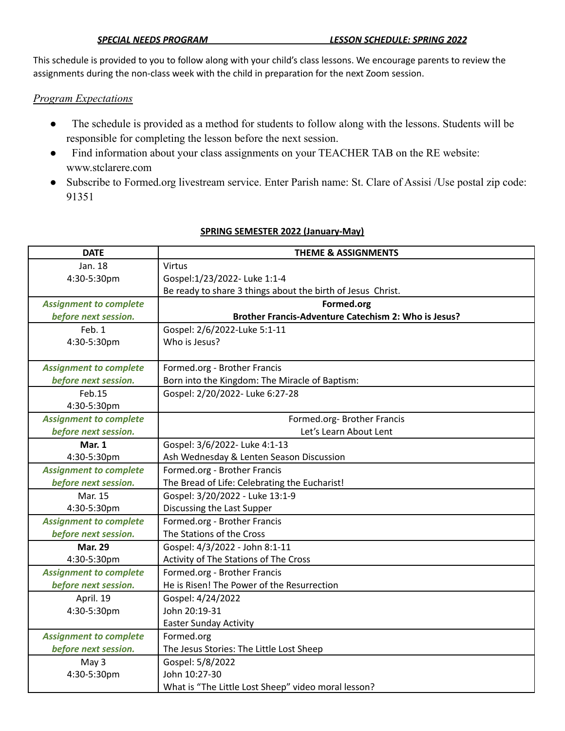This schedule is provided to you to follow along with your child's class lessons. We encourage parents to review the assignments during the non-class week with the child in preparation for the next Zoom session.

## *Program Expectations*

- The schedule is provided as a method for students to follow along with the lessons. Students will be responsible for completing the lesson before the next session.
- Find information about your class assignments on your TEACHER TAB on the RE website: www.stclarere.com
- Subscribe to Formed.org livestream service. Enter Parish name: St. Clare of Assisi /Use postal zip code: 91351

| <b>DATE</b>                   | <b>THEME &amp; ASSIGNMENTS</b>                              |
|-------------------------------|-------------------------------------------------------------|
| Jan. 18                       | <b>Virtus</b>                                               |
| 4:30-5:30pm                   | Gospel:1/23/2022- Luke 1:1-4                                |
|                               | Be ready to share 3 things about the birth of Jesus Christ. |
| <b>Assignment to complete</b> | Formed.org                                                  |
| before next session.          | Brother Francis-Adventure Catechism 2: Who is Jesus?        |
| Feb. 1                        | Gospel: 2/6/2022-Luke 5:1-11                                |
| 4:30-5:30pm                   | Who is Jesus?                                               |
|                               |                                                             |
| <b>Assignment to complete</b> | Formed.org - Brother Francis                                |
| before next session.          | Born into the Kingdom: The Miracle of Baptism:              |
| Feb.15                        | Gospel: 2/20/2022- Luke 6:27-28                             |
| 4:30-5:30pm                   |                                                             |
| <b>Assignment to complete</b> | Formed.org-Brother Francis                                  |
| before next session.          | Let's Learn About Lent                                      |
| <b>Mar. 1</b>                 | Gospel: 3/6/2022- Luke 4:1-13                               |
| 4:30-5:30pm                   | Ash Wednesday & Lenten Season Discussion                    |
| <b>Assignment to complete</b> | Formed.org - Brother Francis                                |
| before next session.          | The Bread of Life: Celebrating the Eucharist!               |
| Mar. 15                       | Gospel: 3/20/2022 - Luke 13:1-9                             |
| 4:30-5:30pm                   | Discussing the Last Supper                                  |
| <b>Assignment to complete</b> | Formed.org - Brother Francis                                |
| before next session.          | The Stations of the Cross                                   |
| <b>Mar. 29</b>                | Gospel: 4/3/2022 - John 8:1-11                              |
| 4:30-5:30pm                   | Activity of The Stations of The Cross                       |
| <b>Assignment to complete</b> | Formed.org - Brother Francis                                |
| before next session.          | He is Risen! The Power of the Resurrection                  |
| April. 19                     | Gospel: 4/24/2022                                           |
| 4:30-5:30pm                   | John 20:19-31                                               |
|                               | <b>Easter Sunday Activity</b>                               |
| <b>Assignment to complete</b> | Formed.org                                                  |
| before next session.          | The Jesus Stories: The Little Lost Sheep                    |
| May 3                         | Gospel: 5/8/2022                                            |
| 4:30-5:30pm                   | John 10:27-30                                               |
|                               | What is "The Little Lost Sheep" video moral lesson?         |

## **SPRING SEMESTER 2022 (January-May)**